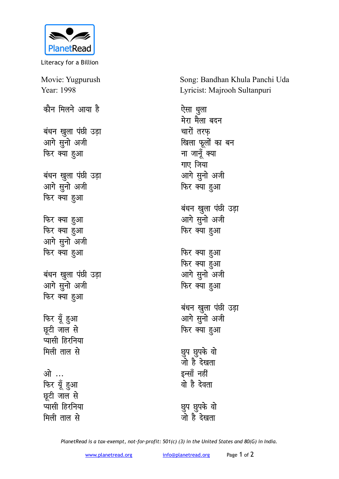

Literacy for a Billion

Movie: Yugpurush Year: 1998 <u>कौन मिलने आया है</u> बंधन खुला **पंछी** उड़ा आगे सुनो अजी **फिर क्या हुआ** बंधन खुला **पंछी** उड़ा आगे सुनो अजी **फिर क्या हुआ** फिर क्या हुआ **फिर क्या हुआ** आगे सूनो अजी **फिर क्या हुआ** बंधन खुला **पंछी** उड़ा आगे सुनो अजी **फिर क्या हुआ** फिर यूँ हुआ छूटी जाल से **प्यासी हिरनिया** मिली ताल से <u>ओ …</u> फिर यूँ हुआ *छूटी जाल से* **प्यासी हिरनिया** मिली ताल से

Song: Bandhan Khula Panchi Uda Lyricist: Majrooh Sultanpuri

ऐसा ध<u>ु</u>ला मेरा मैला बदन <u>चारों तरफ</u> *खिला* फूलों का बन <u>ना जानूँ</u> क्या **गाए** जिया आगे सूनो अजी फिर क्या हुआ बंधन खुला पंछी उड़ा आगे सुनो अजी फिर क्या <u>ह</u>ुआ फिर क्या <u>ह</u>ुआ फिर क्या <u>ह</u>ुआ आगे सूनो अजी फिर क्या <u>हु</u>आ बंधन खुला पंछी उड़ा आगे सुनो अजी फिर क्या <u>ह</u>ुआ **छुप छुपके** वो <u>जो है</u> देखता इन्साँ नहीं <u>वो है देवता</u> **छुप** छुपके वो

<u>जो है देखता</u>

*PlanetRead is a tax-exempt, not-for-profit: 501(c) (3) in the United States and 80(G) in India.*